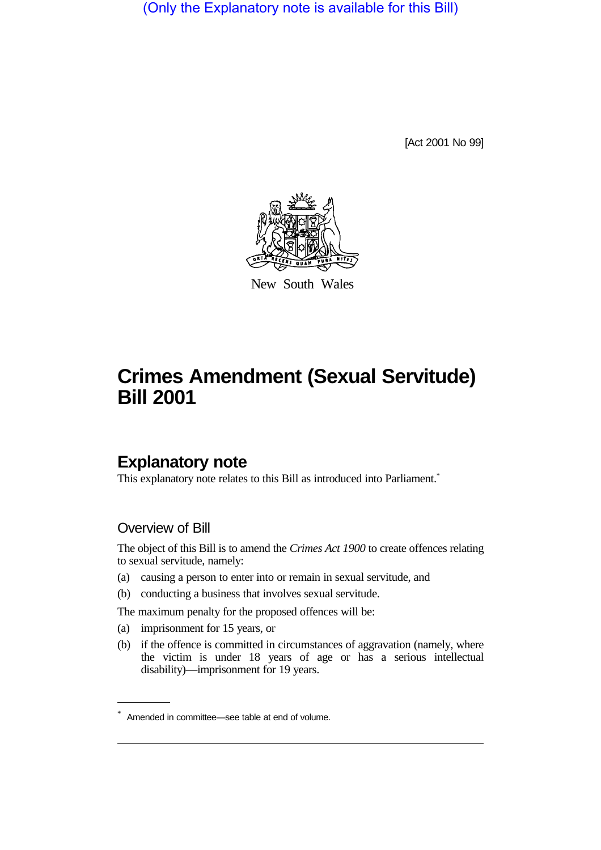(Only the Explanatory note is available for this Bill)

[Act 2001 No 99]



New South Wales

## **Crimes Amendment (Sexual Servitude) Bill 2001**

## **Explanatory note**

This explanatory note relates to this Bill as introduced into Parliament.<sup>\*</sup>

## Overview of Bill

The object of this Bill is to amend the *Crimes Act 1900* to create offences relating to sexual servitude, namely:

- (a) causing a person to enter into or remain in sexual servitude, and
- (b) conducting a business that involves sexual servitude.

The maximum penalty for the proposed offences will be:

- (a) imprisonment for 15 years, or
- (b) if the offence is committed in circumstances of aggravation (namely, where the victim is under 18 years of age or has a serious intellectual disability)—imprisonment for 19 years.

<sup>\*</sup> Amended in committee—see table at end of volume.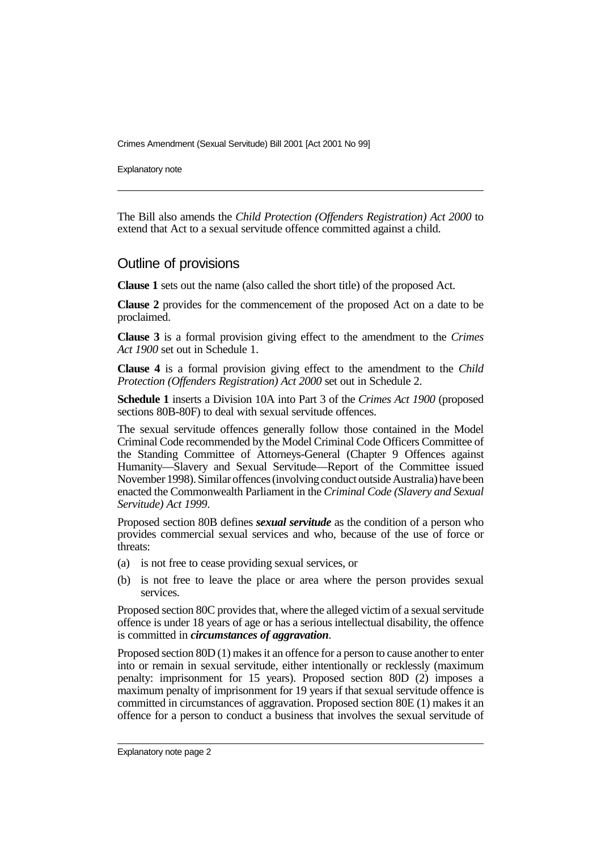Crimes Amendment (Sexual Servitude) Bill 2001 [Act 2001 No 99]

Explanatory note

The Bill also amends the *Child Protection (Offenders Registration) Act 2000* to extend that Act to a sexual servitude offence committed against a child.

## Outline of provisions

**Clause 1** sets out the name (also called the short title) of the proposed Act.

**Clause 2** provides for the commencement of the proposed Act on a date to be proclaimed.

**Clause 3** is a formal provision giving effect to the amendment to the *Crimes Act 1900* set out in Schedule 1.

**Clause 4** is a formal provision giving effect to the amendment to the *Child Protection (Offenders Registration) Act 2000* set out in Schedule 2.

**Schedule 1** inserts a Division 10A into Part 3 of the *Crimes Act 1900* (proposed sections 80B-80F) to deal with sexual servitude offences.

The sexual servitude offences generally follow those contained in the Model Criminal Code recommended by the Model Criminal Code Officers Committee of the Standing Committee of Attorneys-General (Chapter 9 Offences against Humanity—Slavery and Sexual Servitude—Report of the Committee issued November 1998). Similar offences (involving conduct outside Australia) have been enacted the Commonwealth Parliament in the *Criminal Code (Slavery and Sexual Servitude) Act 1999*.

Proposed section 80B defines *sexual servitude* as the condition of a person who provides commercial sexual services and who, because of the use of force or threats:

- (a) is not free to cease providing sexual services, or
- (b) is not free to leave the place or area where the person provides sexual services.

Proposed section 80C provides that, where the alleged victim of a sexual servitude offence is under 18 years of age or has a serious intellectual disability, the offence is committed in *circumstances of aggravation*.

Proposed section 80D (1) makes it an offence for a person to cause another to enter into or remain in sexual servitude, either intentionally or recklessly (maximum penalty: imprisonment for 15 years). Proposed section 80D (2) imposes a maximum penalty of imprisonment for 19 years if that sexual servitude offence is committed in circumstances of aggravation. Proposed section 80E (1) makes it an offence for a person to conduct a business that involves the sexual servitude of